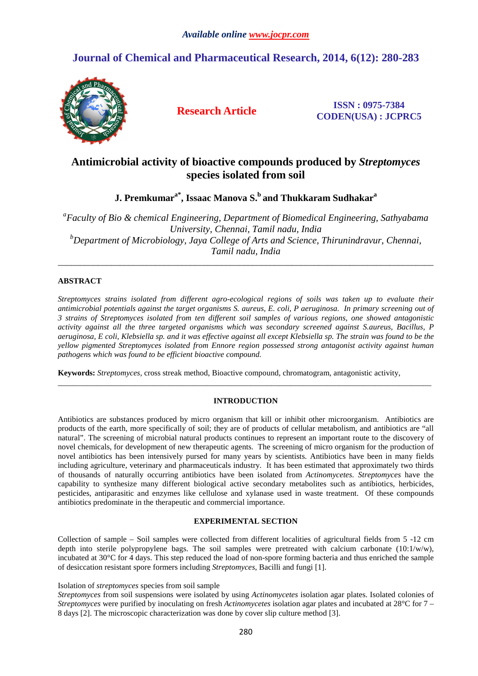# **Journal of Chemical and Pharmaceutical Research, 2014, 6(12): 280-283**



**Research Article ISSN : 0975-7384 CODEN(USA) : JCPRC5**

## **Antimicrobial activity of bioactive compounds produced by** *Streptomyces* **species isolated from soil**

**J. Premkumara\*, Issaac Manova S.<sup>b</sup>and Thukkaram Sudhakar<sup>a</sup>**

*a Faculty of Bio & chemical Engineering, Department of Biomedical Engineering, Sathyabama University, Chennai, Tamil nadu, India <sup>b</sup>Department of Microbiology, Jaya College of Arts and Science, Thirunindravur, Chennai, Tamil nadu, India* 

*\_\_\_\_\_\_\_\_\_\_\_\_\_\_\_\_\_\_\_\_\_\_\_\_\_\_\_\_\_\_\_\_\_\_\_\_\_\_\_\_\_\_\_\_\_\_\_\_\_\_\_\_\_\_\_\_\_\_\_\_\_\_\_\_\_\_\_\_\_\_\_\_\_\_\_\_\_\_\_\_\_\_\_\_\_* 

## **ABSTRACT**

*Streptomyces strains isolated from different agro-ecological regions of soils was taken up to evaluate their antimicrobial potentials against the target organisms S. aureus, E. coli, P aeruginosa. In primary screening out of 3 strains of Streptomyces isolated from ten different soil samples of various regions, one showed antagonistic activity against all the three targeted organisms which was secondary screened against S.aureus, Bacillus, P aeruginosa, E coli, Klebsiella sp. and it was effective against all except Klebsiella sp. The strain was found to be the yellow pigmented Streptomyces isolated from Ennore region possessed strong antagonist activity against human pathogens which was found to be efficient bioactive compound.* 

**Keywords:** *Streptomyces,* cross streak method, Bioactive compound, chromatogram, antagonistic activity,

## **INTRODUCTION**

\_\_\_\_\_\_\_\_\_\_\_\_\_\_\_\_\_\_\_\_\_\_\_\_\_\_\_\_\_\_\_\_\_\_\_\_\_\_\_\_\_\_\_\_\_\_\_\_\_\_\_\_\_\_\_\_\_\_\_\_\_\_\_\_\_\_\_\_\_\_\_\_\_\_\_\_\_\_\_\_\_\_\_\_\_\_\_\_\_\_\_\_\_

Antibiotics are substances produced by micro organism that kill or inhibit other microorganism. Antibiotics are products of the earth, more specifically of soil; they are of products of cellular metabolism, and antibiotics are "all natural". The screening of microbial natural products continues to represent an important route to the discovery of novel chemicals, for development of new therapeutic agents. The screening of micro organism for the production of novel antibiotics has been intensively pursed for many years by scientists. Antibiotics have been in many fields including agriculture, veterinary and pharmaceuticals industry. It has been estimated that approximately two thirds of thousands of naturally occurring antibiotics have been isolated from *Actinomycetes. Streptomyces* have the capability to synthesize many different biological active secondary metabolites such as antibiotics, herbicides, pesticides, antiparasitic and enzymes like cellulose and xylanase used in waste treatment. Of these compounds antibiotics predominate in the therapeutic and commercial importance.

## **EXPERIMENTAL SECTION**

Collection of sample – Soil samples were collected from different localities of agricultural fields from 5 -12 cm depth into sterile polypropylene bags. The soil samples were pretreated with calcium carbonate (10:1/w/w), incubated at 30°C for 4 days. This step reduced the load of non-spore forming bacteria and thus enriched the sample of desiccation resistant spore formers including *Streptomyces*, Bacilli and fungi [1].

Isolation of *streptomyces* species from soil sample

*Streptomyces* from soil suspensions were isolated by using *Actinomycetes* isolation agar plates. Isolated colonies of *Streptomyces* were purified by inoculating on fresh *Actinomycetes* isolation agar plates and incubated at 28°C for 7 – 8 days [2]. The microscopic characterization was done by cover slip culture method [3].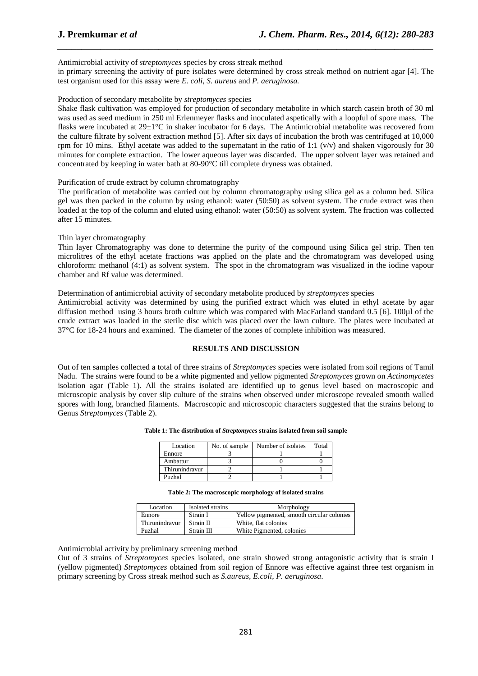Antimicrobial activity of *streptomyces* species by cross streak method

in primary screening the activity of pure isolates were determined by cross streak method on nutrient agar [4]. The test organism used for this assay were *E. coli*, *S. aureus* and *P. aeruginosa.* 

*\_\_\_\_\_\_\_\_\_\_\_\_\_\_\_\_\_\_\_\_\_\_\_\_\_\_\_\_\_\_\_\_\_\_\_\_\_\_\_\_\_\_\_\_\_\_\_\_\_\_\_\_\_\_\_\_\_\_\_\_\_\_\_\_\_\_\_\_\_\_\_\_\_\_\_\_\_\_*

Production of secondary metabolite by *streptomyces* species

Shake flask cultivation was employed for production of secondary metabolite in which starch casein broth of 30 ml was used as seed medium in 250 ml Erlenmeyer flasks and inoculated aspetically with a loopful of spore mass. The flasks were incubated at 29±1°C in shaker incubator for 6 days. The Antimicrobial metabolite was recovered from the culture filtrate by solvent extraction method [5]. After six days of incubation the broth was centrifuged at 10,000 rpm for 10 mins. Ethyl acetate was added to the supernatant in the ratio of 1:1  $(v/v)$  and shaken vigorously for 30 minutes for complete extraction. The lower aqueous layer was discarded. The upper solvent layer was retained and concentrated by keeping in water bath at 80-90°C till complete dryness was obtained.

Purification of crude extract by column chromatography

The purification of metabolite was carried out by column chromatography using silica gel as a column bed. Silica gel was then packed in the column by using ethanol: water (50:50) as solvent system. The crude extract was then loaded at the top of the column and eluted using ethanol: water (50:50) as solvent system. The fraction was collected after 15 minutes.

Thin layer chromatography

Thin layer Chromatography was done to determine the purity of the compound using Silica gel strip. Then ten microlitres of the ethyl acetate fractions was applied on the plate and the chromatogram was developed using chloroform: methanol (4:1) as solvent system. The spot in the chromatogram was visualized in the iodine vapour chamber and Rf value was determined.

Determination of antimicrobial activity of secondary metabolite produced by *streptomyces* species

Antimicrobial activity was determined by using the purified extract which was eluted in ethyl acetate by agar diffusion method using 3 hours broth culture which was compared with MacFarland standard 0.5 [6]. 100µl of the crude extract was loaded in the sterile disc which was placed over the lawn culture. The plates were incubated at 37°C for 18-24 hours and examined. The diameter of the zones of complete inhibition was measured.

#### **RESULTS AND DISCUSSION**

Out of ten samples collected a total of three strains of *Streptomyces* species were isolated from soil regions of Tamil Nadu. The strains were found to be a white pigmented and yellow pigmented *Streptomyces* grown on *Actinomycetes* isolation agar (Table 1). All the strains isolated are identified up to genus level based on macroscopic and microscopic analysis by cover slip culture of the strains when observed under microscope revealed smooth walled spores with long, branched filaments. Macroscopic and microscopic characters suggested that the strains belong to Genus *Streptomyces* (Table 2).

| Location       | No. of sample | Number of isolates | Total |
|----------------|---------------|--------------------|-------|
| Ennore         |               |                    |       |
| Ambattur       |               |                    |       |
| Thirunindravur |               |                    |       |
| Puzhal         |               |                    |       |

| Location       | Isolated strains | Morphology                                 |  |
|----------------|------------------|--------------------------------------------|--|
| Ennore         | Strain I         | Yellow pigmented, smooth circular colonies |  |
| Thirunindravur | Strain II        | White, flat colonies                       |  |
| Puzhal         | Strain III       | White Pigmented, colonies                  |  |

Antimicrobial activity by preliminary screening method

Out of 3 strains of *Streptomyces* species isolated, one strain showed strong antagonistic activity that is strain I (yellow pigmented) *Streptomyces* obtained from soil region of Ennore was effective against three test organism in primary screening by Cross streak method such as *S.aureus, E.coli, P. aeruginosa*.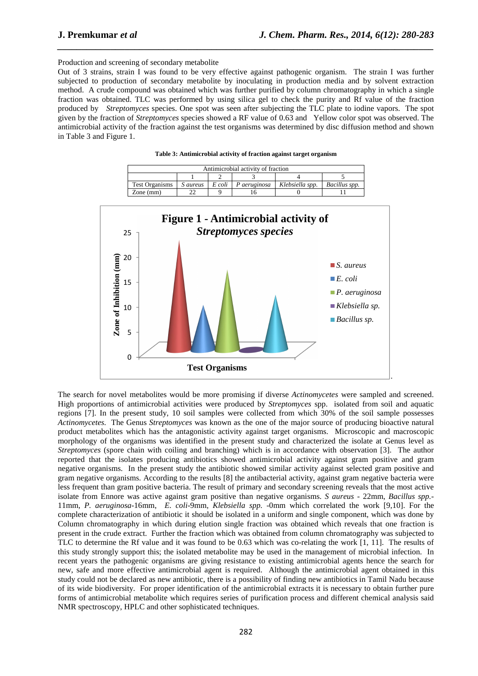Production and screening of secondary metabolite

Out of 3 strains, strain I was found to be very effective against pathogenic organism. The strain I was further subjected to production of secondary metabolite by inoculating in production media and by solvent extraction method. A crude compound was obtained which was further purified by column chromatography in which a single fraction was obtained. TLC was performed by using silica gel to check the purity and Rf value of the fraction produced by *Streptomyces* species. One spot was seen after subjecting the TLC plate to iodine vapors. The spot given by the fraction of *Streptomyces* species showed a RF value of 0.63 and Yellow color spot was observed. The antimicrobial activity of the fraction against the test organisms was determined by disc diffusion method and shown in Table 3 and Figure 1.

*\_\_\_\_\_\_\_\_\_\_\_\_\_\_\_\_\_\_\_\_\_\_\_\_\_\_\_\_\_\_\_\_\_\_\_\_\_\_\_\_\_\_\_\_\_\_\_\_\_\_\_\_\_\_\_\_\_\_\_\_\_\_\_\_\_\_\_\_\_\_\_\_\_\_\_\_\_\_*

|                | Antimicrobial activity of fraction |                    |              |                 |               |  |  |  |
|----------------|------------------------------------|--------------------|--------------|-----------------|---------------|--|--|--|
|                |                                    |                    |              |                 |               |  |  |  |
| Test Organisms | <i>S</i> aureus                    | $E\,$ coli $\perp$ | P aeruginosa | Klebsiella spp. | Bacillus spp. |  |  |  |
| Zone $(mm)$    |                                    |                    |              |                 |               |  |  |  |

**Table 3: Antimicrobial activity of fraction against target organism** 



The search for novel metabolites would be more promising if diverse *Actinomycetes* were sampled and screened. High proportions of antimicrobial activities were produced by *Streptomyces* spp. isolated from soil and aquatic regions [7]. In the present study, 10 soil samples were collected from which 30% of the soil sample possesses *Actinomycetes.* The Genus *Streptomyces* was known as the one of the major source of producing bioactive natural product metabolites which has the antagonistic activity against target organisms. Microscopic and macroscopic morphology of the organisms was identified in the present study and characterized the isolate at Genus level as *Streptomyces* (spore chain with coiling and branching) which is in accordance with observation [3]. The author reported that the isolates producing antibiotics showed antimicrobial activity against gram positive and gram negative organisms. In the present study the antibiotic showed similar activity against selected gram positive and gram negative organisms. According to the results [8] the antibacterial activity, against gram negative bacteria were less frequent than gram positive bacteria. The result of primary and secondary screening reveals that the most active isolate from Ennore was active against gram positive than negative organisms. *S aureus* - 22mm, *Bacillus spp.*- 11mm, *P. aeruginosa*-16mm, *E. coli*-9mm, *Klebsiella spp.* -0mm which correlated the work [9,10]. For the complete characterization of antibiotic it should be isolated in a uniform and single component, which was done by Column chromatography in which during elution single fraction was obtained which reveals that one fraction is present in the crude extract. Further the fraction which was obtained from column chromatography was subjected to TLC to determine the Rf value and it was found to be 0.63 which was co-relating the work [1, 11]. The results of this study strongly support this; the isolated metabolite may be used in the management of microbial infection. In recent years the pathogenic organisms are giving resistance to existing antimicrobial agents hence the search for new, safe and more effective antimicrobial agent is required. Although the antimicrobial agent obtained in this study could not be declared as new antibiotic, there is a possibility of finding new antibiotics in Tamil Nadu because of its wide biodiversity. For proper identification of the antimicrobial extracts it is necessary to obtain further pure forms of antimicrobial metabolite which requires series of purification process and different chemical analysis said NMR spectroscopy, HPLC and other sophisticated techniques.